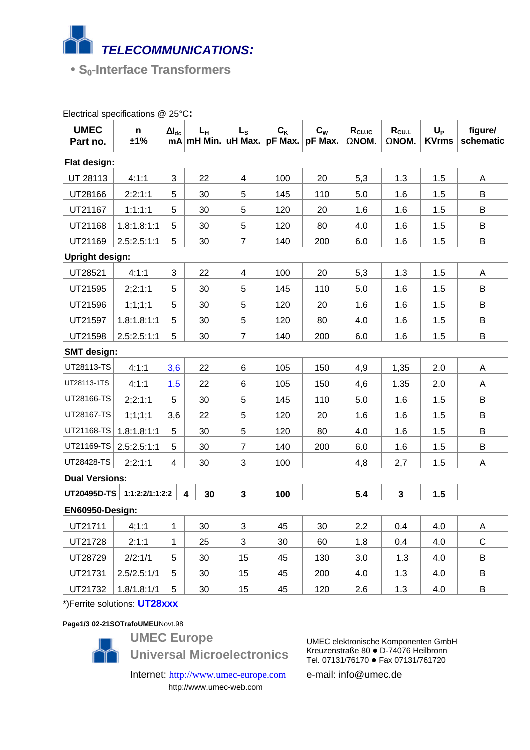

• **S0-Interface Transformers**

| <b>UMEC</b><br>Part no. | n.<br>±1%       | $\Delta I_{dc}$ | $L_{\rm H}$<br>mA mH Min. | $L_{S}$<br>uH Max. | $C_{K}$<br>pF Max. | $\mathbf{C}_{\mathbf{W}}$<br>pF Max. | $R_{CU,IC}$<br>ΩΝΟΜ. | $R_{\text{CUL}}$<br>$\Omega$ NOM. | $U_P$<br><b>KVrms</b> | figure/<br>schematic |
|-------------------------|-----------------|-----------------|---------------------------|--------------------|--------------------|--------------------------------------|----------------------|-----------------------------------|-----------------------|----------------------|
| Flat design:            |                 |                 |                           |                    |                    |                                      |                      |                                   |                       |                      |
| UT 28113                | 4:1:1           | 3               | 22                        | 4                  | 100                | 20                                   | 5,3                  | 1.3                               | 1.5                   | A                    |
| UT28166                 | 2:2:1:1         | 5               | 30                        | 5                  | 145                | 110                                  | 5.0                  | 1.6                               | 1.5                   | B                    |
| UT21167                 | 1:1:1:1         | 5               | 30                        | 5                  | 120                | 20                                   | 1.6                  | 1.6                               | 1.5                   | B                    |
| UT21168                 | 1.8:1.8:1:1     | 5               | 30                        | 5                  | 120                | 80                                   | 4.0                  | 1.6                               | 1.5                   | B                    |
| UT21169                 | 2.5:2.5:1:1     | 5               | 30                        | $\overline{7}$     | 140                | 200                                  | 6.0                  | 1.6                               | 1.5                   | B                    |
| <b>Upright design:</b>  |                 |                 |                           |                    |                    |                                      |                      |                                   |                       |                      |
| UT28521                 | 4:1:1           | $\mathbf{3}$    | 22                        | 4                  | 100                | 20                                   | 5,3                  | 1.3                               | 1.5                   | Α                    |
| UT21595                 | 2;2:1:1         | 5               | 30                        | 5                  | 145                | 110                                  | 5.0                  | 1.6                               | 1.5                   | B                    |
| UT21596                 | 1;1;1;1         | 5               | 30                        | 5                  | 120                | 20                                   | 1.6                  | 1.6                               | 1.5                   | B                    |
| UT21597                 | 1.8:1.8:1:1     | 5               | 30                        | 5                  | 120                | 80                                   | 4.0                  | 1.6                               | 1.5                   | B                    |
| UT21598                 | 2.5:2.5:1:1     | 5               | 30                        | $\overline{7}$     | 140                | 200                                  | 6.0                  | 1.6                               | 1.5                   | B                    |
| <b>SMT</b> design:      |                 |                 |                           |                    |                    |                                      |                      |                                   |                       |                      |
| UT28113-TS              | 4:1:1           | 3,6             | 22                        | 6                  | 105                | 150                                  | 4,9                  | 1,35                              | 2.0                   | A                    |
| UT28113-1TS             | 4:1:1           | 1.5             | 22                        | 6                  | 105                | 150                                  | 4,6                  | 1.35                              | 2.0                   | A                    |
| UT28166-TS              | 2;2:1:1         | 5               | 30                        | 5                  | 145                | 110                                  | 5.0                  | 1.6                               | 1.5                   | B                    |
| UT28167-TS              | 1;1;1;1         | 3,6             | 22                        | 5                  | 120                | 20                                   | 1.6                  | 1.6                               | 1.5                   | B                    |
| UT21168-TS              | 1.8:1.8:1:1     | 5               | 30                        | 5                  | 120                | 80                                   | 4.0                  | 1.6                               | 1.5                   | B                    |
| UT21169-TS              | 2.5:2.5:1:1     | 5               | 30                        | $\overline{7}$     | 140                | 200                                  | 6.0                  | 1.6                               | 1.5                   | B                    |
| <b>UT28428-TS</b>       | 2:2:1:1         | $\overline{4}$  | 30                        | 3                  | 100                |                                      | 4,8                  | 2,7                               | 1.5                   | Α                    |
| <b>Dual Versions:</b>   |                 |                 |                           |                    |                    |                                      |                      |                                   |                       |                      |
| UT20495D-TS             | 1:1:2:2/1:1:2:2 |                 | 30<br>4                   | $\mathbf{3}$       | 100                |                                      | 5.4                  | $\mathbf{3}$                      | 1.5                   |                      |
| EN60950-Design:         |                 |                 |                           |                    |                    |                                      |                      |                                   |                       |                      |
| UT21711                 | 4;1:1           | $\mathbf{1}$    | 30                        | 3                  | 45                 | 30                                   | 2.2                  | 0.4                               | 4.0                   | Α                    |
| UT21728                 | 2:1:1           | $\mathbf{1}$    | 25                        | 3                  | 30                 | 60                                   | 1.8                  | 0.4                               | 4.0                   | C                    |
| UT28729                 | 2/2:1/1         | 5               | 30                        | 15                 | 45                 | 130                                  | 3.0                  | 1.3                               | 4.0                   | B                    |
| UT21731                 | 2.5/2.5:1/1     | 5               | 30                        | 15                 | 45                 | 200                                  | 4.0                  | 1.3                               | 4.0                   | В                    |
| UT21732                 | 1.8/1.8:1/1     | 5               | 30                        | 15                 | 45                 | 120                                  | 2.6                  | 1.3                               | 4.0                   | В                    |

Electrical specifications @ 25°C**:**

\*)Ferrite solutions: **UT28xxx**

**Page1/3 02-21SOTrafoUMEU**Novt.98



**UMEC Europe**

**Universal Microelectronics**

Internet: http://www.umec-europe.com http://www.umec-web.com

UMEC elektronische Komponenten GmbH Kreuzenstraße 80 · D-74076 Heilbronn Tel. 07131/76170 · Fax 07131/761720

e-mail: info@umec.de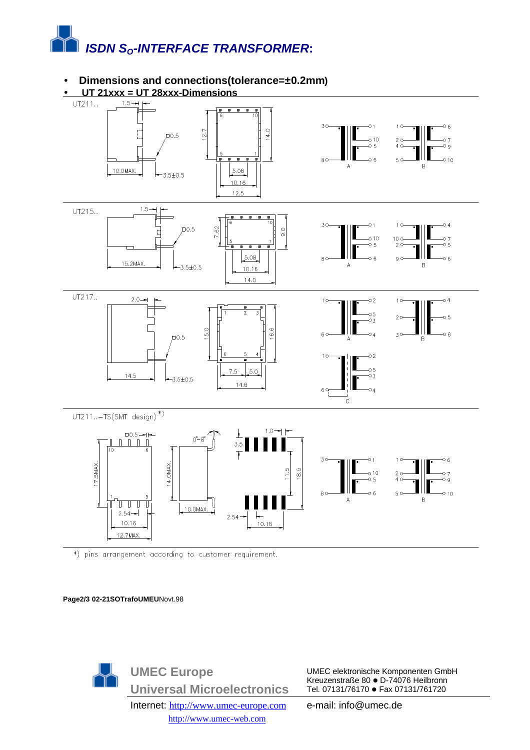

## • **Dimensions and connections(tolerance=±0.2mm)**



\*) pins arrangement according to customer requirement.

**Page2/3 02-21SOTrafoUMEU**Novt.98



UMEC elektronische Komponenten GmbH Kreuzenstraße 80 · D-74076 Heilbronn Tel. 07131/76170 · Fax 07131/761720

e-mail: info@umec.de